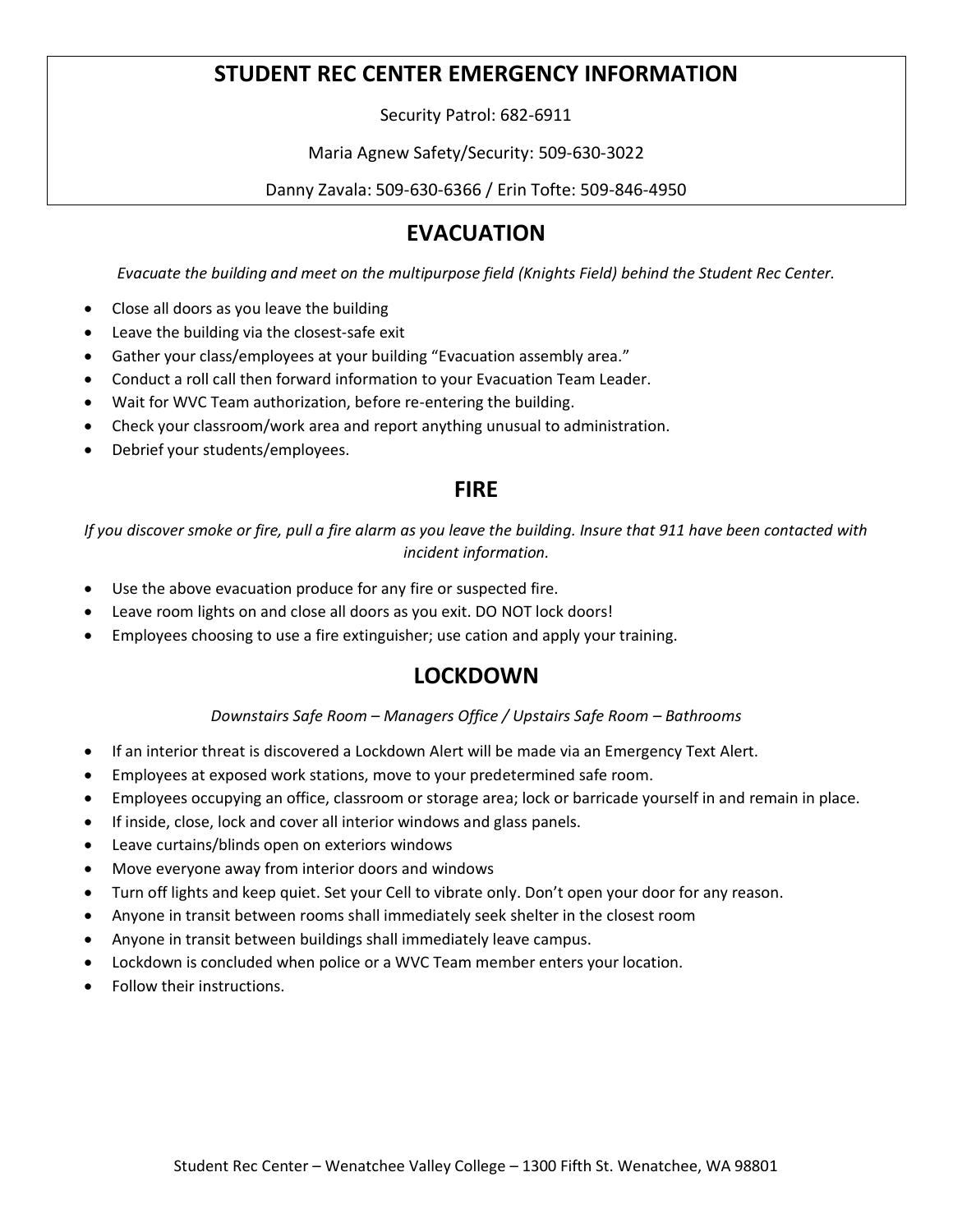# **STUDENT REC CENTER EMERGENCY INFORMATION**

Security Patrol: 682-6911

Maria Agnew Safety/Security: 509-630-3022

Danny Zavala: 509-630-6366 / Erin Tofte: 509-846-4950

# **EVACUATION**

*Evacuate the building and meet on the multipurpose field (Knights Field) behind the Student Rec Center.* 

- Close all doors as you leave the building
- Leave the building via the closest-safe exit
- Gather your class/employees at your building "Evacuation assembly area."
- Conduct a roll call then forward information to your Evacuation Team Leader.
- Wait for WVC Team authorization, before re-entering the building.
- Check your classroom/work area and report anything unusual to administration.
- Debrief your students/employees.

### **FIRE**

*If you discover smoke or fire, pull a fire alarm as you leave the building. Insure that 911 have been contacted with incident information.*

- Use the above evacuation produce for any fire or suspected fire.
- Leave room lights on and close all doors as you exit. DO NOT lock doors!
- Employees choosing to use a fire extinguisher; use cation and apply your training.

### **LOCKDOWN**

#### *Downstairs Safe Room – Managers Office / Upstairs Safe Room – Bathrooms*

- If an interior threat is discovered a Lockdown Alert will be made via an Emergency Text Alert.
- Employees at exposed work stations, move to your predetermined safe room.
- Employees occupying an office, classroom or storage area; lock or barricade yourself in and remain in place.
- If inside, close, lock and cover all interior windows and glass panels.
- Leave curtains/blinds open on exteriors windows
- Move everyone away from interior doors and windows
- Turn off lights and keep quiet. Set your Cell to vibrate only. Don't open your door for any reason.
- Anyone in transit between rooms shall immediately seek shelter in the closest room
- Anyone in transit between buildings shall immediately leave campus.
- Lockdown is concluded when police or a WVC Team member enters your location.
- Follow their instructions.